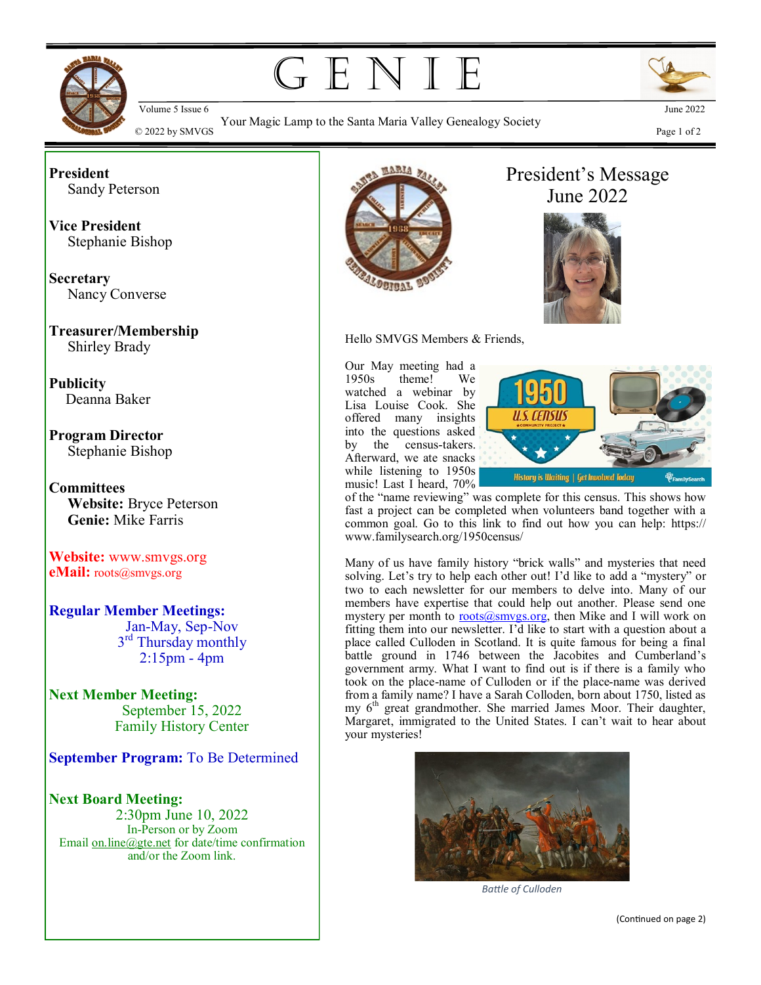

G E N I E

Your Magic Lamp to the Santa Maria Valley Genealogy Society



 $\odot$  2022 by SMVGS Page 1 of 2 corresponding to the band that a value of  $\sim$  2022 by SMVGS Page 1 of 2

**President** Sandy Peterson

**Vice President** Stephanie Bishop

**Secretary** Nancy Converse

**Treasurer/Membership** Shirley Brady

**Publicity** Deanna Baker

**Program Director** Stephanie Bishop

**Committees Website:** Bryce Peterson **Genie:** Mike Farris

**Website:** www.smvgs.org **eMail:** roots@smvgs.org

**Regular Member Meetings:** Jan-May, Sep-Nov 3<sup>rd</sup> Thursday monthly 2:15pm - 4pm

**Next Member Meeting:**  September 15, 2022 Family History Center

**September Program:** To Be Determined

**Next Board Meeting:** 2:30pm June 10, 2022 In-Person or by Zoom Email [on.line@gte.net](mailto:on.line@gte.net) for date/time confirmation and/or the Zoom link.



Hello SMVGS Members & Friends,

Our May meeting had a 1950s theme! We watched a webinar by Lisa Louise Cook. She offered many insights into the questions asked by the census-takers. Afterward, we ate snacks while listening to 1950s music! Last I heard, 70%



President's Message June 2022

of the "name reviewing" was complete for this census. This shows how fast a project can be completed when volunteers band together with a common goal. Go to this link to find out how you can help: https:// www.familysearch.org/1950census/

Many of us have family history "brick walls" and mysteries that need solving. Let's try to help each other out! I'd like to add a "mystery" or two to each newsletter for our members to delve into. Many of our members have expertise that could help out another. Please send one mystery per month to **roots@smygs.org**, then Mike and I will work on fitting them into our newsletter. I'd like to start with a question about a place called Culloden in Scotland. It is quite famous for being a final battle ground in 1746 between the Jacobites and Cumberland's government army. What I want to find out is if there is a family who took on the place-name of Culloden or if the place-name was derived from a family name? I have a Sarah Colloden, born about 1750, listed as my 6<sup>th</sup> great grandmother. She married James Moor. Their daughter, Margaret, immigrated to the United States. I can't wait to hear about your mysteries!



*Battle of Culloden*

(Continued on page 2)